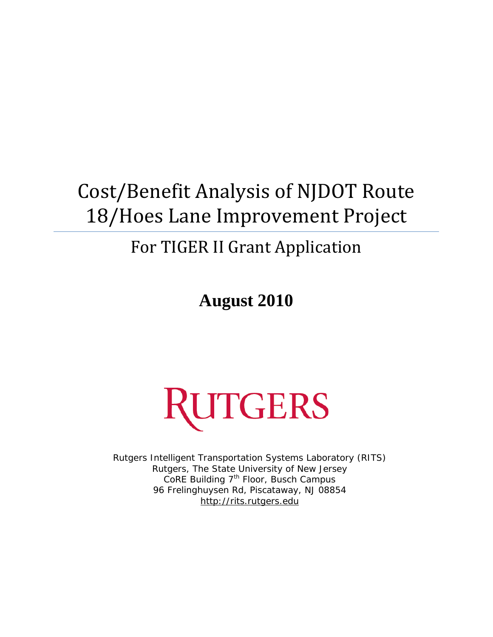# Cost/Benefit Analysis of NJDOT Route 18/Hoes Lane Improvement Project

## For TIGER II Grant Application

**August 2010** 



Rutgers Intelligent Transportation Systems Laboratory (RITS) Rutgers, The State University of New Jersey CoRE Building 7<sup>th</sup> Floor, Busch Campus 96 Frelinghuysen Rd, Piscataway, NJ 08854 http://rits.rutgers.edu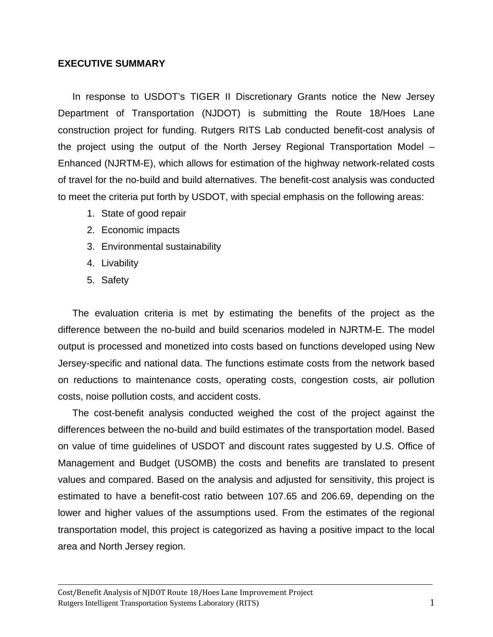## **EXECUTIVE SUMMARY**

In response to USDOT's TIGER II Discretionary Grants notice the New Jersey Department of Transportation (NJDOT) is submitting the Route 18/Hoes Lane construction project for funding. Rutgers RITS Lab conducted benefit-cost analysis of the project using the output of the North Jersey Regional Transportation Model – Enhanced (NJRTM-E), which allows for estimation of the highway network-related costs of travel for the no-build and build alternatives. The benefit-cost analysis was conducted to meet the criteria put forth by USDOT, with special emphasis on the following areas:

- 1. State of good repair
- 2. Economic impacts
- 3. Environmental sustainability
- 4. Livability
- 5. Safety

The evaluation criteria is met by estimating the benefits of the project as the difference between the no-build and build scenarios modeled in NJRTM-E. The model output is processed and monetized into costs based on functions developed using New Jersey-specific and national data. The functions estimate costs from the network based on reductions to maintenance costs, operating costs, congestion costs, air pollution costs, noise pollution costs, and accident costs.

The cost-benefit analysis conducted weighed the cost of the project against the differences between the no-build and build estimates of the transportation model. Based on value of time guidelines of USDOT and discount rates suggested by U.S. Office of Management and Budget (USOMB) the costs and benefits are translated to present values and compared. Based on the analysis and adjusted for sensitivity, this project is estimated to have a benefit-cost ratio between 107.65 and 206.69, depending on the lower and higher values of the assumptions used. From the estimates of the regional transportation model, this project is categorized as having a positive impact to the local area and North Jersey region.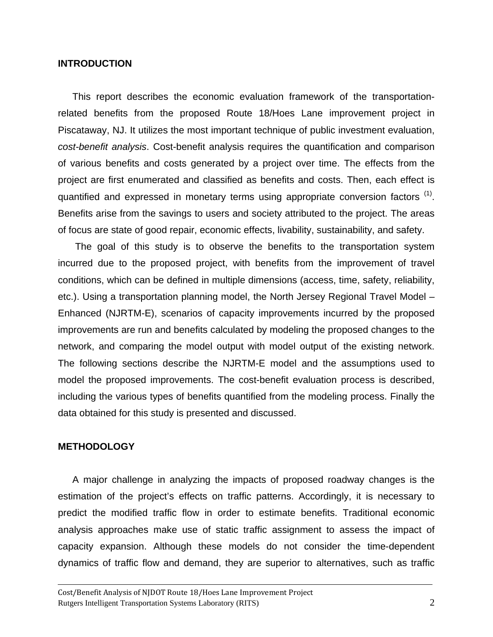#### **INTRODUCTION**

This report describes the economic evaluation framework of the transportationrelated benefits from the proposed Route 18/Hoes Lane improvement project in Piscataway, NJ. It utilizes the most important technique of public investment evaluation, *cost-benefit analysis*. Cost-benefit analysis requires the quantification and comparison of various benefits and costs generated by a project over time. The effects from the project are first enumerated and classified as benefits and costs. Then, each effect is quantified and expressed in monetary terms using appropriate conversion factors <sup>(1)</sup>. Benefits arise from the savings to users and society attributed to the project. The areas of focus are state of good repair, economic effects, livability, sustainability, and safety.

 The goal of this study is to observe the benefits to the transportation system incurred due to the proposed project, with benefits from the improvement of travel conditions, which can be defined in multiple dimensions (access, time, safety, reliability, etc.). Using a transportation planning model, the North Jersey Regional Travel Model – Enhanced (NJRTM-E), scenarios of capacity improvements incurred by the proposed improvements are run and benefits calculated by modeling the proposed changes to the network, and comparing the model output with model output of the existing network. The following sections describe the NJRTM-E model and the assumptions used to model the proposed improvements. The cost-benefit evaluation process is described, including the various types of benefits quantified from the modeling process. Finally the data obtained for this study is presented and discussed.

#### **METHODOLOGY**

A major challenge in analyzing the impacts of proposed roadway changes is the estimation of the project's effects on traffic patterns. Accordingly, it is necessary to predict the modified traffic flow in order to estimate benefits. Traditional economic analysis approaches make use of static traffic assignment to assess the impact of capacity expansion. Although these models do not consider the time-dependent dynamics of traffic flow and demand, they are superior to alternatives, such as traffic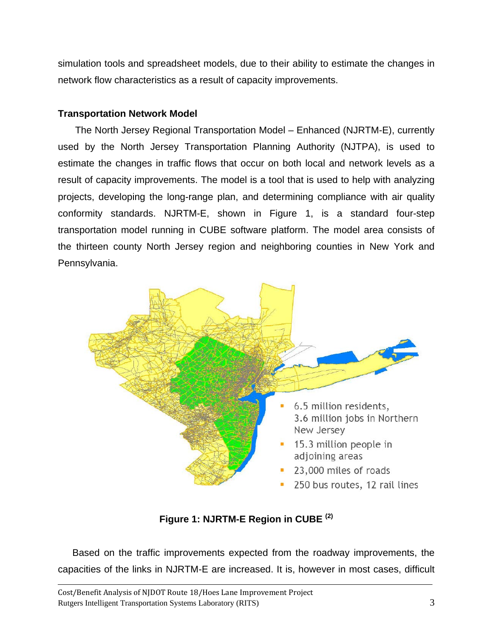simulation tools and spreadsheet models, due to their ability to estimate the changes in network flow characteristics as a result of capacity improvements.

## **Transportation Network Model**

 The North Jersey Regional Transportation Model – Enhanced (NJRTM-E), currently used by the North Jersey Transportation Planning Authority (NJTPA), is used to estimate the changes in traffic flows that occur on both local and network levels as a result of capacity improvements. The model is a tool that is used to help with analyzing projects, developing the long-range plan, and determining compliance with air quality conformity standards. NJRTM-E, shown in Figure 1, is a standard four-step transportation model running in CUBE software platform. The model area consists of the thirteen county North Jersey region and neighboring counties in New York and Pennsylvania.



**Figure 1: NJRTM-E Region in CUBE (2)**

Based on the traffic improvements expected from the roadway improvements, the capacities of the links in NJRTM-E are increased. It is, however in most cases, difficult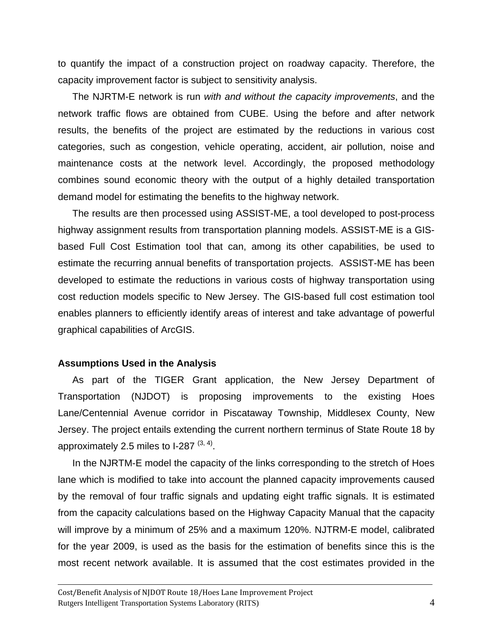to quantify the impact of a construction project on roadway capacity. Therefore, the capacity improvement factor is subject to sensitivity analysis.

The NJRTM-E network is run *with and without the capacity improvements*, and the network traffic flows are obtained from CUBE. Using the before and after network results, the benefits of the project are estimated by the reductions in various cost categories, such as congestion, vehicle operating, accident, air pollution, noise and maintenance costs at the network level. Accordingly, the proposed methodology combines sound economic theory with the output of a highly detailed transportation demand model for estimating the benefits to the highway network.

The results are then processed using ASSIST-ME, a tool developed to post-process highway assignment results from transportation planning models. ASSIST-ME is a GISbased Full Cost Estimation tool that can, among its other capabilities, be used to estimate the recurring annual benefits of transportation projects. ASSIST-ME has been developed to estimate the reductions in various costs of highway transportation using cost reduction models specific to New Jersey. The GIS-based full cost estimation tool enables planners to efficiently identify areas of interest and take advantage of powerful graphical capabilities of ArcGIS.

#### **Assumptions Used in the Analysis**

As part of the TIGER Grant application, the New Jersey Department of Transportation (NJDOT) is proposing improvements to the existing Hoes Lane/Centennial Avenue corridor in Piscataway Township, Middlesex County, New Jersey. The project entails extending the current northern terminus of State Route 18 by approximately 2.5 miles to  $1-287^{(3, 4)}$ .

In the NJRTM-E model the capacity of the links corresponding to the stretch of Hoes lane which is modified to take into account the planned capacity improvements caused by the removal of four traffic signals and updating eight traffic signals. It is estimated from the capacity calculations based on the Highway Capacity Manual that the capacity will improve by a minimum of 25% and a maximum 120%. NJTRM-E model, calibrated for the year 2009, is used as the basis for the estimation of benefits since this is the most recent network available. It is assumed that the cost estimates provided in the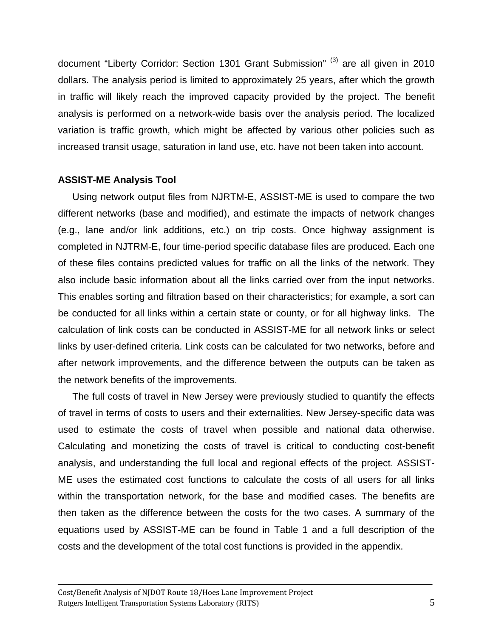document "Liberty Corridor: Section 1301 Grant Submission" (3) are all given in 2010 dollars. The analysis period is limited to approximately 25 years, after which the growth in traffic will likely reach the improved capacity provided by the project. The benefit analysis is performed on a network-wide basis over the analysis period. The localized variation is traffic growth, which might be affected by various other policies such as increased transit usage, saturation in land use, etc. have not been taken into account.

## **ASSIST-ME Analysis Tool**

Using network output files from NJRTM-E, ASSIST-ME is used to compare the two different networks (base and modified), and estimate the impacts of network changes (e.g., lane and/or link additions, etc.) on trip costs. Once highway assignment is completed in NJTRM-E, four time-period specific database files are produced. Each one of these files contains predicted values for traffic on all the links of the network. They also include basic information about all the links carried over from the input networks. This enables sorting and filtration based on their characteristics; for example, a sort can be conducted for all links within a certain state or county, or for all highway links. The calculation of link costs can be conducted in ASSIST-ME for all network links or select links by user-defined criteria. Link costs can be calculated for two networks, before and after network improvements, and the difference between the outputs can be taken as the network benefits of the improvements.

The full costs of travel in New Jersey were previously studied to quantify the effects of travel in terms of costs to users and their externalities. New Jersey-specific data was used to estimate the costs of travel when possible and national data otherwise. Calculating and monetizing the costs of travel is critical to conducting cost-benefit analysis, and understanding the full local and regional effects of the project. ASSIST-ME uses the estimated cost functions to calculate the costs of all users for all links within the transportation network, for the base and modified cases. The benefits are then taken as the difference between the costs for the two cases. A summary of the equations used by ASSIST-ME can be found in Table 1 and a full description of the costs and the development of the total cost functions is provided in the appendix.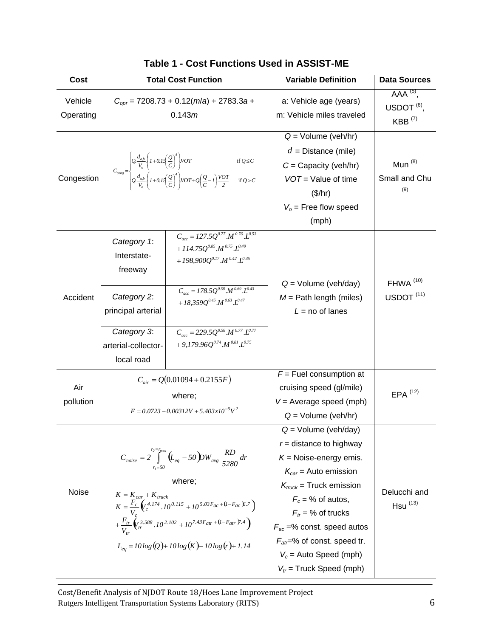| Cost                 |                                                                                                                                                                                                                                                                                                        | <b>Total Cost Function</b>                                                                                                                                                                                                                     | <b>Variable Definition</b>                                                                                                                                                                                                                                                                                                                     | <b>Data Sources</b>                                          |
|----------------------|--------------------------------------------------------------------------------------------------------------------------------------------------------------------------------------------------------------------------------------------------------------------------------------------------------|------------------------------------------------------------------------------------------------------------------------------------------------------------------------------------------------------------------------------------------------|------------------------------------------------------------------------------------------------------------------------------------------------------------------------------------------------------------------------------------------------------------------------------------------------------------------------------------------------|--------------------------------------------------------------|
| Vehicle<br>Operating |                                                                                                                                                                                                                                                                                                        | $C_{\text{opr}} = 7208.73 + 0.12(m/a) + 2783.3a +$<br>0.143m                                                                                                                                                                                   | a: Vehicle age (years)<br>m: Vehicle miles traveled                                                                                                                                                                                                                                                                                            | AAA <sup>(5)</sup> ,<br>USDOT $(6)$ ,<br>$KBB^{(7)}$         |
| Congestion           | $C_{\text{cong}} = \begin{cases} Q \frac{d_{ab}}{V_o} \left\{ 1 + 0.15 \left( \frac{Q}{C} \right) \right\} VOT & \text{if } Q \leq C \\ Q \frac{d_{ab}}{V} \left\{ 1 + 0.15 \left( \frac{Q}{C} \right)^4 \right\} VOT + Q \left( \frac{Q}{C} - I \right) \frac{VOT}{2} & \text{if } Q > C \end{cases}$ |                                                                                                                                                                                                                                                | $Q = Volume (veh/hr)$<br>$d =$ Distance (mile)<br>$C =$ Capacity (veh/hr)<br>$VOT = Value of time$<br>(\$/hr)<br>$Vo$ = Free flow speed<br>(mph)                                                                                                                                                                                               | Mun $^{(8)}$<br>Small and Chu<br>(9)                         |
| Accident             | Category 1:<br>Interstate-<br>freeway<br>Category 2:<br>principal arterial                                                                                                                                                                                                                             | $C_{acc} = 127.5Q^{0.77} \cdot M^{0.76} \cdot L^{0.53}$<br>+ 114.75 $Q^{0.85}M^{0.75}J^{0.49}$<br>+ 198,900 $Q^{0.17}$ $M^{0.42}$ $L^{0.45}$<br>$C_{acc} = 178.5Q^{0.58} \cdot M^{0.69} \cdot L^{0.43}$<br>+18,359 $Q^{0.45}M^{0.63}.L^{0.47}$ | $Q =$ Volume (veh/day)<br>$M =$ Path length (miles)<br>$L = no$ of lanes                                                                                                                                                                                                                                                                       | FHWA <sup>(10)</sup><br>$USDOT$ <sup><math>(11)</math></sup> |
|                      | Category 3:<br>arterial-collector-<br>local road                                                                                                                                                                                                                                                       | $C_{acc} = 229.5Q^{0.58} \cdot M^{0.77} \cdot L^{0.77}$<br>+9,179.96 $O^{0.74}$ $M^{0.81}$ $L^{0.75}$                                                                                                                                          |                                                                                                                                                                                                                                                                                                                                                |                                                              |
| Air<br>pollution     | $C_{air} = Q(0.01094 + 0.2155F)$<br>where;<br>$F = 0.0723 - 0.00312V + 5.403x10^{-5}V^2$                                                                                                                                                                                                               |                                                                                                                                                                                                                                                | $F =$ Fuel consumption at<br>cruising speed (gl/mile)<br>$V =$ Average speed (mph)<br>$Q =$ Volume (veh/hr)                                                                                                                                                                                                                                    | $EPA$ <sup><math>(12)</math></sup>                           |
| Noise                | $C_{noise} = 2 \int_{0}^{\frac{r_2 - r_{max}}{2}} (L_{eq} - 50) \, dw_{avg} \, \frac{RD}{5280} dr$<br>where;<br>$+\frac{F_{tr}}{V} \left(\sqrt{\frac{3.588}{h}}.10^{2.102} + 10^{7.43} F_{atr} + (l - F_{atr})^{7.4}\right)$<br>$L_{eq} = 10 \log (Q) + 10 \log (K) - 10 \log (r) + 1.14$              |                                                                                                                                                                                                                                                | $Q =$ Volume (veh/day)<br>$r =$ distance to highway<br>$K =$ Noise-energy emis.<br>$K_{car}$ = Auto emission<br>$K_{\text{truck}}$ = Truck emission<br>$F_c$ = % of autos,<br>$F_{tr}$ = % of trucks<br>$F_{ac}$ =% const. speed autos<br>$F_{\text{at}} = \%$ of const. speed tr.<br>$V_c$ = Auto Speed (mph)<br>$V_{tr}$ = Truck Speed (mph) | Delucchi and<br>$Hsu^{(13)}$                                 |

|  |  | Table 1 - Cost Functions Used in ASSIST-ME |
|--|--|--------------------------------------------|
|--|--|--------------------------------------------|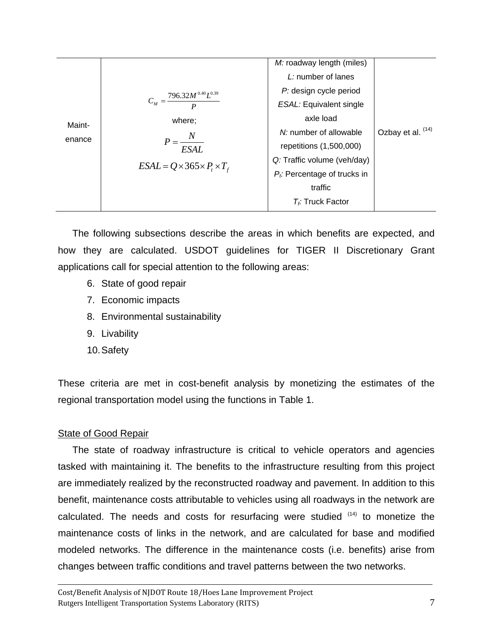| $C_M = \frac{796.32 M^{0.40} L^{0.39}}{2}$<br>where;<br>Maint-<br>$P = \frac{N}{N}$<br>enance<br><b>ESAL</b><br>$ESAL = Q \times 365 \times P_t \times T_f$ | M: roadway length (miles)<br>L: number of lanes<br>P: design cycle period<br><b>ESAL:</b> Equivalent single<br>axle load<br>N: number of allowable<br>repetitions (1,500,000)<br>Q: Traffic volume (veh/day)<br>$P_t$ : Percentage of trucks in<br>traffic<br>$T_f$ : Truck Factor | Ozbay et al. (14) |
|-------------------------------------------------------------------------------------------------------------------------------------------------------------|------------------------------------------------------------------------------------------------------------------------------------------------------------------------------------------------------------------------------------------------------------------------------------|-------------------|
|-------------------------------------------------------------------------------------------------------------------------------------------------------------|------------------------------------------------------------------------------------------------------------------------------------------------------------------------------------------------------------------------------------------------------------------------------------|-------------------|

The following subsections describe the areas in which benefits are expected, and how they are calculated. USDOT guidelines for TIGER II Discretionary Grant applications call for special attention to the following areas:

- 6. State of good repair
- 7. Economic impacts
- 8. Environmental sustainability
- 9. Livability
- 10. Safety

These criteria are met in cost-benefit analysis by monetizing the estimates of the regional transportation model using the functions in Table 1.

## **State of Good Repair**

The state of roadway infrastructure is critical to vehicle operators and agencies tasked with maintaining it. The benefits to the infrastructure resulting from this project are immediately realized by the reconstructed roadway and pavement. In addition to this benefit, maintenance costs attributable to vehicles using all roadways in the network are calculated. The needs and costs for resurfacing were studied  $(14)$  to monetize the maintenance costs of links in the network, and are calculated for base and modified modeled networks. The difference in the maintenance costs (i.e. benefits) arise from changes between traffic conditions and travel patterns between the two networks.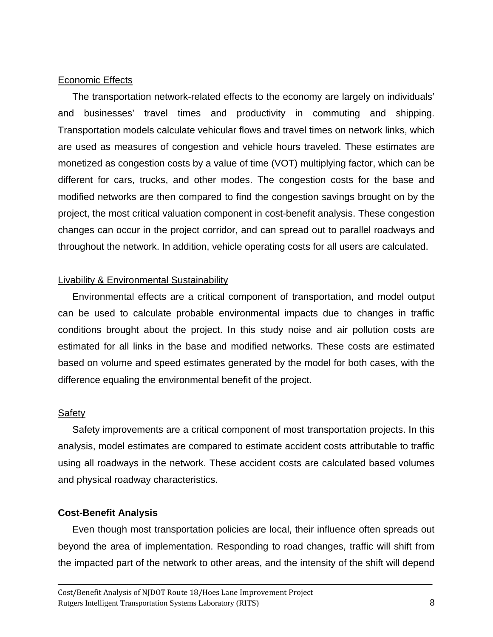## Economic Effects

The transportation network-related effects to the economy are largely on individuals' and businesses' travel times and productivity in commuting and shipping. Transportation models calculate vehicular flows and travel times on network links, which are used as measures of congestion and vehicle hours traveled. These estimates are monetized as congestion costs by a value of time (VOT) multiplying factor, which can be different for cars, trucks, and other modes. The congestion costs for the base and modified networks are then compared to find the congestion savings brought on by the project, the most critical valuation component in cost-benefit analysis. These congestion changes can occur in the project corridor, and can spread out to parallel roadways and throughout the network. In addition, vehicle operating costs for all users are calculated.

## Livability & Environmental Sustainability

Environmental effects are a critical component of transportation, and model output can be used to calculate probable environmental impacts due to changes in traffic conditions brought about the project. In this study noise and air pollution costs are estimated for all links in the base and modified networks. These costs are estimated based on volume and speed estimates generated by the model for both cases, with the difference equaling the environmental benefit of the project.

#### **Safety**

Safety improvements are a critical component of most transportation projects. In this analysis, model estimates are compared to estimate accident costs attributable to traffic using all roadways in the network. These accident costs are calculated based volumes and physical roadway characteristics.

## **Cost-Benefit Analysis**

Even though most transportation policies are local, their influence often spreads out beyond the area of implementation. Responding to road changes, traffic will shift from the impacted part of the network to other areas, and the intensity of the shift will depend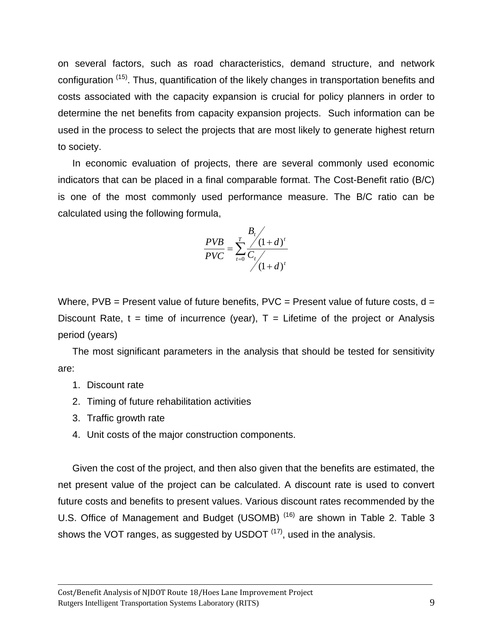on several factors, such as road characteristics, demand structure, and network configuration <sup>(15)</sup>. Thus, quantification of the likely changes in transportation benefits and costs associated with the capacity expansion is crucial for policy planners in order to determine the net benefits from capacity expansion projects. Such information can be used in the process to select the projects that are most likely to generate highest return to society.

In economic evaluation of projects, there are several commonly used economic indicators that can be placed in a final comparable format. The Cost-Benefit ratio (B/C) is one of the most commonly used performance measure. The B/C ratio can be calculated using the following formula,

$$
\frac{PVB}{PVC} = \sum_{t=0}^{T} \frac{\frac{B_t}{\sqrt{(1+d)^t}}}{C_t \sqrt{(1+d)^t}}
$$

Where,  $PVB =$  Present value of future benefits,  $PVC =$  Present value of future costs,  $d =$ Discount Rate,  $t =$  time of incurrence (year),  $T =$  Lifetime of the project or Analysis period (years)

The most significant parameters in the analysis that should be tested for sensitivity are:

- 1. Discount rate
- 2. Timing of future rehabilitation activities
- 3. Traffic growth rate
- 4. Unit costs of the major construction components.

Given the cost of the project, and then also given that the benefits are estimated, the net present value of the project can be calculated. A discount rate is used to convert future costs and benefits to present values. Various discount rates recommended by the U.S. Office of Management and Budget (USOMB)<sup>(16)</sup> are shown in Table 2. Table 3 shows the VOT ranges, as suggested by USDOT  $(17)$ , used in the analysis.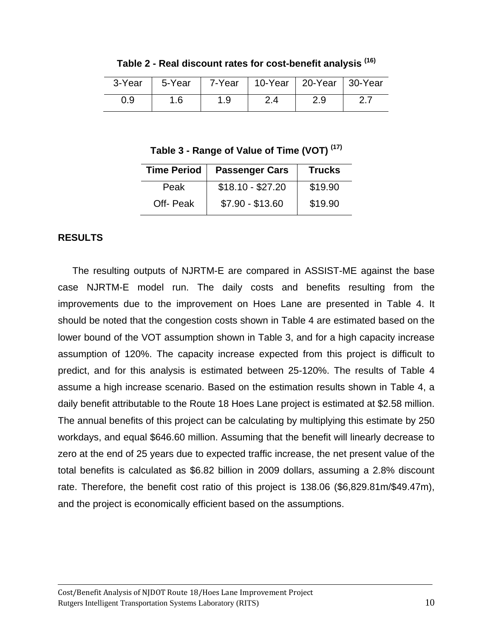| 3-Year | 5-Year |     | 7-Year   10-Year   20-Year   30-Year |     |  |
|--------|--------|-----|--------------------------------------|-----|--|
| 0.9    |        | 1.9 |                                      | 2.9 |  |

**Table 2 - Real discount rates for cost-benefit analysis (16)** 

**Table 3 - Range of Value of Time (VOT) (17)**

| <b>Time Period</b> | <b>Passenger Cars</b> | <b>Trucks</b> |
|--------------------|-----------------------|---------------|
| Peak               | $$18.10 - $27.20$     | \$19.90       |
| Off-Peak           | $$7.90 - $13.60$      | \$19.90       |

## **RESULTS**

The resulting outputs of NJRTM-E are compared in ASSIST-ME against the base case NJRTM-E model run. The daily costs and benefits resulting from the improvements due to the improvement on Hoes Lane are presented in Table 4. It should be noted that the congestion costs shown in Table 4 are estimated based on the lower bound of the VOT assumption shown in Table 3, and for a high capacity increase assumption of 120%. The capacity increase expected from this project is difficult to predict, and for this analysis is estimated between 25-120%. The results of Table 4 assume a high increase scenario. Based on the estimation results shown in Table 4, a daily benefit attributable to the Route 18 Hoes Lane project is estimated at \$2.58 million. The annual benefits of this project can be calculating by multiplying this estimate by 250 workdays, and equal \$646.60 million. Assuming that the benefit will linearly decrease to zero at the end of 25 years due to expected traffic increase, the net present value of the total benefits is calculated as \$6.82 billion in 2009 dollars, assuming a 2.8% discount rate. Therefore, the benefit cost ratio of this project is 138.06 (\$6,829.81m/\$49.47m), and the project is economically efficient based on the assumptions.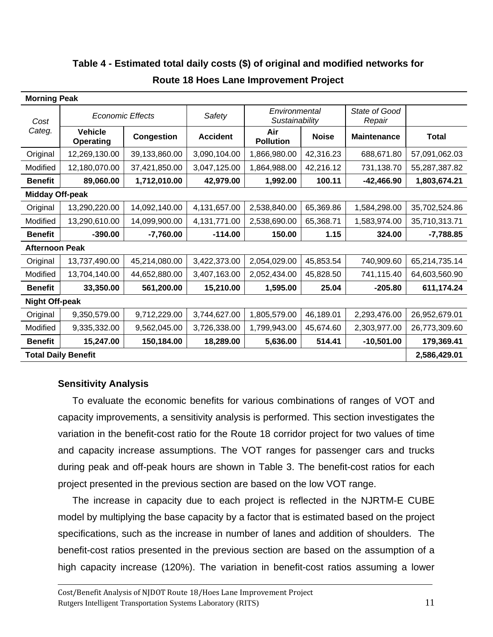| <b>Morning Peak</b>        |                             |                   |                                           |                         |              |                         |               |
|----------------------------|-----------------------------|-------------------|-------------------------------------------|-------------------------|--------------|-------------------------|---------------|
| Cost                       | <b>Economic Effects</b>     |                   | Environmental<br>Safety<br>Sustainability |                         |              | State of Good<br>Repair |               |
| Categ.                     | <b>Vehicle</b><br>Operating | <b>Congestion</b> | <b>Accident</b>                           | Air<br><b>Pollution</b> | <b>Noise</b> | <b>Maintenance</b>      | <b>Total</b>  |
| Original                   | 12,269,130.00               | 39,133,860.00     | 3,090,104.00                              | 1,866,980.00            | 42,316.23    | 688,671.80              | 57,091,062.03 |
| Modified                   | 12,180,070.00               | 37,421,850.00     | 3,047,125.00                              | 1,864,988.00            | 42,216.12    | 731,138.70              | 55,287,387.82 |
| <b>Benefit</b>             | 89,060.00                   | 1,712,010.00      | 42,979.00                                 | 1,992.00                | 100.11       | $-42,466.90$            | 1,803,674.21  |
| <b>Midday Off-peak</b>     |                             |                   |                                           |                         |              |                         |               |
| Original                   | 13,290,220.00               | 14,092,140.00     | 4,131,657.00                              | 2,538,840.00            | 65,369.86    | 1,584,298.00            | 35,702,524.86 |
| Modified                   | 13,290,610.00               | 14,099,900.00     | 4,131,771.00                              | 2,538,690.00            | 65,368.71    | 1,583,974.00            | 35,710,313.71 |
| <b>Benefit</b>             | $-390.00$                   | $-7,760.00$       | $-114.00$                                 | 150.00                  | 1.15         | 324.00                  | $-7,788.85$   |
| <b>Afternoon Peak</b>      |                             |                   |                                           |                         |              |                         |               |
| Original                   | 13,737,490.00               | 45,214,080.00     | 3,422,373.00                              | 2,054,029.00            | 45,853.54    | 740,909.60              | 65,214,735.14 |
| Modified                   | 13,704,140.00               | 44,652,880.00     | 3,407,163.00                              | 2,052,434.00            | 45,828.50    | 741,115.40              | 64,603,560.90 |
| <b>Benefit</b>             | 33,350.00                   | 561,200.00        | 15,210.00                                 | 1,595.00                | 25.04        | $-205.80$               | 611,174.24    |
| <b>Night Off-peak</b>      |                             |                   |                                           |                         |              |                         |               |
| Original                   | 9,350,579.00                | 9,712,229.00      | 3,744,627.00                              | 1,805,579.00            | 46,189.01    | 2,293,476.00            | 26,952,679.01 |
| Modified                   | 9,335,332.00                | 9,562,045.00      | 3,726,338.00                              | 1,799,943.00            | 45,674.60    | 2,303,977.00            | 26,773,309.60 |
| <b>Benefit</b>             | 15,247.00                   | 150,184.00        | 18,289.00                                 | 5,636.00                | 514.41       | $-10,501.00$            | 179,369.41    |
| <b>Total Daily Benefit</b> |                             |                   |                                           |                         | 2,586,429.01 |                         |               |

## **Table 4 - Estimated total daily costs (\$) of original and modified networks for**

## **Route 18 Hoes Lane Improvement Project**

## **Sensitivity Analysis**

To evaluate the economic benefits for various combinations of ranges of VOT and capacity improvements, a sensitivity analysis is performed. This section investigates the variation in the benefit-cost ratio for the Route 18 corridor project for two values of time and capacity increase assumptions. The VOT ranges for passenger cars and trucks during peak and off-peak hours are shown in Table 3. The benefit-cost ratios for each project presented in the previous section are based on the low VOT range.

The increase in capacity due to each project is reflected in the NJRTM-E CUBE model by multiplying the base capacity by a factor that is estimated based on the project specifications, such as the increase in number of lanes and addition of shoulders. The benefit-cost ratios presented in the previous section are based on the assumption of a high capacity increase (120%). The variation in benefit-cost ratios assuming a lower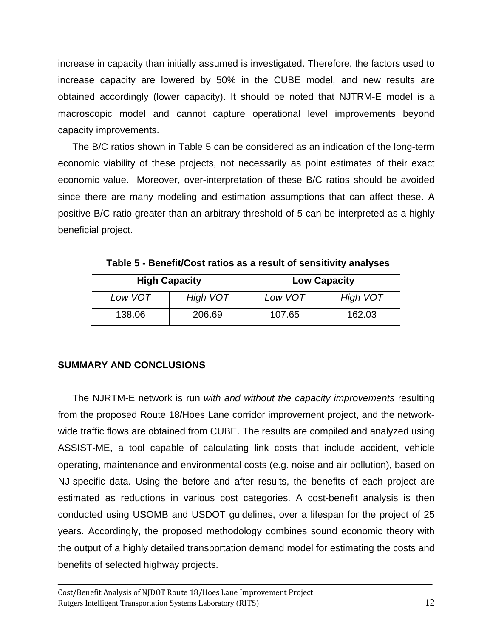increase in capacity than initially assumed is investigated. Therefore, the factors used to increase capacity are lowered by 50% in the CUBE model, and new results are obtained accordingly (lower capacity). It should be noted that NJTRM-E model is a macroscopic model and cannot capture operational level improvements beyond capacity improvements.

The B/C ratios shown in Table 5 can be considered as an indication of the long-term economic viability of these projects, not necessarily as point estimates of their exact economic value. Moreover, over-interpretation of these B/C ratios should be avoided since there are many modeling and estimation assumptions that can affect these. A positive B/C ratio greater than an arbitrary threshold of 5 can be interpreted as a highly beneficial project.

| <b>High Capacity</b> |          | <b>Low Capacity</b> |                 |
|----------------------|----------|---------------------|-----------------|
| Low VOT              | High VOT | Low VOT             | <b>High VOT</b> |
| 138.06               | 206.69   | 107.65              | 162.03          |

**Table 5 - Benefit/Cost ratios as a result of sensitivity analyses** 

## **SUMMARY AND CONCLUSIONS**

The NJRTM-E network is run *with and without the capacity improvements* resulting from the proposed Route 18/Hoes Lane corridor improvement project, and the networkwide traffic flows are obtained from CUBE. The results are compiled and analyzed using ASSIST-ME, a tool capable of calculating link costs that include accident, vehicle operating, maintenance and environmental costs (e.g. noise and air pollution), based on NJ-specific data. Using the before and after results, the benefits of each project are estimated as reductions in various cost categories. A cost-benefit analysis is then conducted using USOMB and USDOT guidelines, over a lifespan for the project of 25 years. Accordingly, the proposed methodology combines sound economic theory with the output of a highly detailed transportation demand model for estimating the costs and benefits of selected highway projects.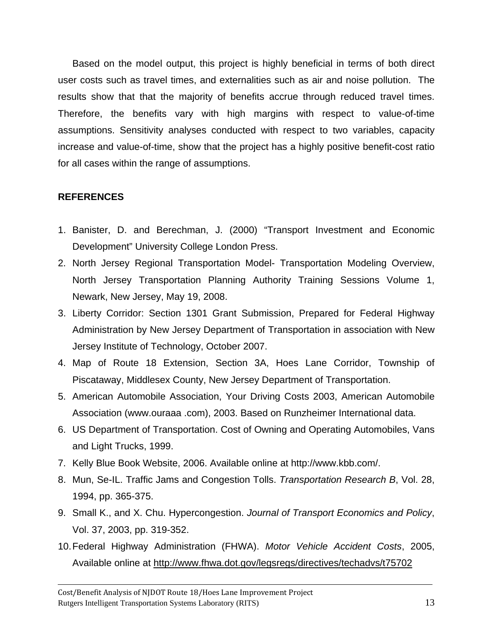Based on the model output, this project is highly beneficial in terms of both direct user costs such as travel times, and externalities such as air and noise pollution. The results show that that the majority of benefits accrue through reduced travel times. Therefore, the benefits vary with high margins with respect to value-of-time assumptions. Sensitivity analyses conducted with respect to two variables, capacity increase and value-of-time, show that the project has a highly positive benefit-cost ratio for all cases within the range of assumptions.

## **REFERENCES**

- 1. Banister, D. and Berechman, J. (2000) "Transport Investment and Economic Development" University College London Press.
- 2. North Jersey Regional Transportation Model- Transportation Modeling Overview, North Jersey Transportation Planning Authority Training Sessions Volume 1, Newark, New Jersey, May 19, 2008.
- 3. Liberty Corridor: Section 1301 Grant Submission, Prepared for Federal Highway Administration by New Jersey Department of Transportation in association with New Jersey Institute of Technology, October 2007.
- 4. Map of Route 18 Extension, Section 3A, Hoes Lane Corridor, Township of Piscataway, Middlesex County, New Jersey Department of Transportation.
- 5. American Automobile Association, Your Driving Costs 2003, American Automobile Association (www.ouraaa .com), 2003. Based on Runzheimer International data.
- 6. US Department of Transportation. Cost of Owning and Operating Automobiles, Vans and Light Trucks, 1999.
- 7. Kelly Blue Book Website, 2006. Available online at http://www.kbb.com/.
- 8. Mun, Se-IL. Traffic Jams and Congestion Tolls. *Transportation Research B*, Vol. 28, 1994, pp. 365-375.
- 9. Small K., and X. Chu. Hypercongestion. *Journal of Transport Economics and Policy*, Vol. 37, 2003, pp. 319-352.
- 10. Federal Highway Administration (FHWA). *Motor Vehicle Accident Costs*, 2005, Available online at http://www.fhwa.dot.gov/legsregs/directives/techadvs/t75702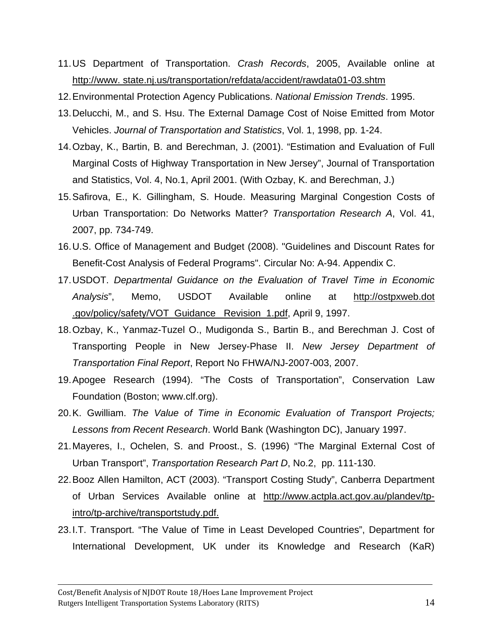- 11. US Department of Transportation. *Crash Records*, 2005, Available online at http://www. state.nj.us/transportation/refdata/accident/rawdata01-03.shtm
- 12. Environmental Protection Agency Publications. *National Emission Trends*. 1995.
- 13. Delucchi, M., and S. Hsu. The External Damage Cost of Noise Emitted from Motor Vehicles. *Journal of Transportation and Statistics*, Vol. 1, 1998, pp. 1-24.
- 14. Ozbay, K., Bartin, B. and Berechman, J. (2001). "Estimation and Evaluation of Full Marginal Costs of Highway Transportation in New Jersey", Journal of Transportation and Statistics, Vol. 4, No.1, April 2001. (With Ozbay, K. and Berechman, J.)
- 15. Safirova, E., K. Gillingham, S. Houde. Measuring Marginal Congestion Costs of Urban Transportation: Do Networks Matter? *Transportation Research A*, Vol. 41, 2007, pp. 734-749.
- 16. U.S. Office of Management and Budget (2008). "Guidelines and Discount Rates for Benefit-Cost Analysis of Federal Programs". Circular No: A-94. Appendix C.
- 17. USDOT. *Departmental Guidance on the Evaluation of Travel Time in Economic Analysis*", Memo, USDOT Available online at http://ostpxweb.dot .gov/policy/safety/VOT\_Guidance\_ Revision\_1.pdf, April 9, 1997.
- 18. Ozbay, K., Yanmaz-Tuzel O., Mudigonda S., Bartin B., and Berechman J. Cost of Transporting People in New Jersey-Phase II. *New Jersey Department of Transportation Final Report*, Report No FHWA/NJ-2007-003, 2007.
- 19. Apogee Research (1994). "The Costs of Transportation", Conservation Law Foundation (Boston; www.clf.org).
- 20. K. Gwilliam. *The Value of Time in Economic Evaluation of Transport Projects; Lessons from Recent Research*. World Bank (Washington DC), January 1997.
- 21. Mayeres, I., Ochelen, S. and Proost., S. (1996) "The Marginal External Cost of Urban Transport", *Transportation Research Part D*, No.2, pp. 111-130.
- 22. Booz Allen Hamilton, ACT (2003). "Transport Costing Study", Canberra Department of Urban Services Available online at http://www.actpla.act.gov.au/plandev/tpintro/tp-archive/transportstudy.pdf.
- 23. I.T. Transport. "The Value of Time in Least Developed Countries", Department for International Development, UK under its Knowledge and Research (KaR)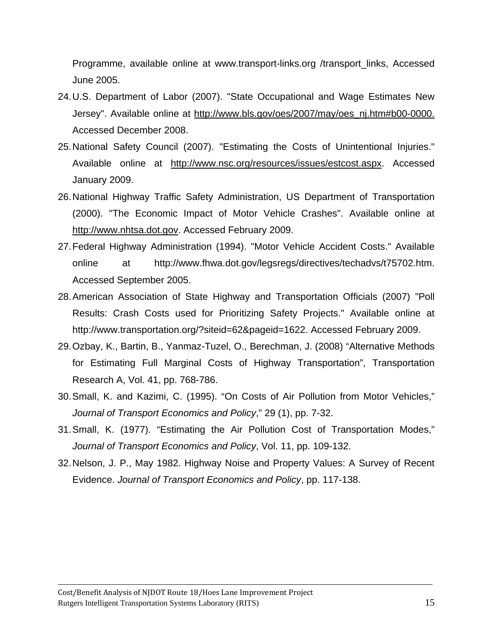Programme, available online at www.transport-links.org /transport\_links, Accessed June 2005.

- 24. U.S. Department of Labor (2007). "State Occupational and Wage Estimates New Jersey". Available online at http://www.bls.gov/oes/2007/may/oes\_nj.htm#b00-0000. Accessed December 2008.
- 25. National Safety Council (2007). "Estimating the Costs of Unintentional Injuries." Available online at http://www.nsc.org/resources/issues/estcost.aspx. Accessed January 2009.
- 26. National Highway Traffic Safety Administration, US Department of Transportation (2000). "The Economic Impact of Motor Vehicle Crashes". Available online at http://www.nhtsa.dot.gov. Accessed February 2009.
- 27. Federal Highway Administration (1994). "Motor Vehicle Accident Costs." Available online at http://www.fhwa.dot.gov/legsregs/directives/techadvs/t75702.htm. Accessed September 2005.
- 28. American Association of State Highway and Transportation Officials (2007) "Poll Results: Crash Costs used for Prioritizing Safety Projects." Available online at http://www.transportation.org/?siteid=62&pageid=1622. Accessed February 2009.
- 29. Ozbay, K., Bartin, B., Yanmaz-Tuzel, O., Berechman, J. (2008) "Alternative Methods for Estimating Full Marginal Costs of Highway Transportation", Transportation Research A, Vol. 41, pp. 768-786.
- 30. Small, K. and Kazimi, C. (1995). "On Costs of Air Pollution from Motor Vehicles," *Journal of Transport Economics and Policy*," 29 (1), pp. 7-32.
- 31. Small, K. (1977). "Estimating the Air Pollution Cost of Transportation Modes," *Journal of Transport Economics and Policy*, Vol. 11, pp. 109-132.
- 32. Nelson, J. P., May 1982. Highway Noise and Property Values: A Survey of Recent Evidence. *Journal of Transport Economics and Policy*, pp. 117-138.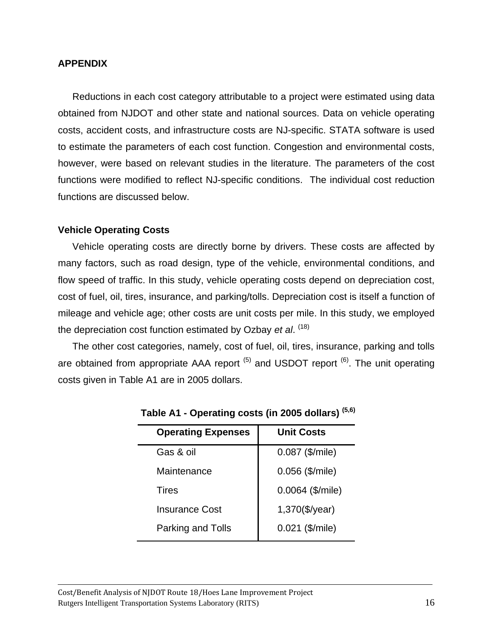#### **APPENDIX**

Reductions in each cost category attributable to a project were estimated using data obtained from NJDOT and other state and national sources. Data on vehicle operating costs, accident costs, and infrastructure costs are NJ-specific. STATA software is used to estimate the parameters of each cost function. Congestion and environmental costs, however, were based on relevant studies in the literature. The parameters of the cost functions were modified to reflect NJ-specific conditions. The individual cost reduction functions are discussed below.

## **Vehicle Operating Costs**

Vehicle operating costs are directly borne by drivers. These costs are affected by many factors, such as road design, type of the vehicle, environmental conditions, and flow speed of traffic. In this study, vehicle operating costs depend on depreciation cost, cost of fuel, oil, tires, insurance, and parking/tolls. Depreciation cost is itself a function of mileage and vehicle age; other costs are unit costs per mile. In this study, we employed the depreciation cost function estimated by Ozbay *et al*. (18)

The other cost categories, namely, cost of fuel, oil, tires, insurance, parking and tolls are obtained from appropriate AAA report  $(5)$  and USDOT report  $(6)$ . The unit operating costs given in Table A1 are in 2005 dollars.

| <b>Operating Expenses</b> | <b>Unit Costs</b>  |
|---------------------------|--------------------|
| Gas & oil                 | 0.087 (\$/mile)    |
| Maintenance               | $0.056$ (\$/mile)  |
| Tires                     | $0.0064$ (\$/mile) |
| <b>Insurance Cost</b>     | $1,370$ (\$/year)  |
| Parking and Tolls         | $0.021$ (\$/mile)  |
|                           |                    |

**Table A1 - Operating costs (in 2005 dollars) (5,6)**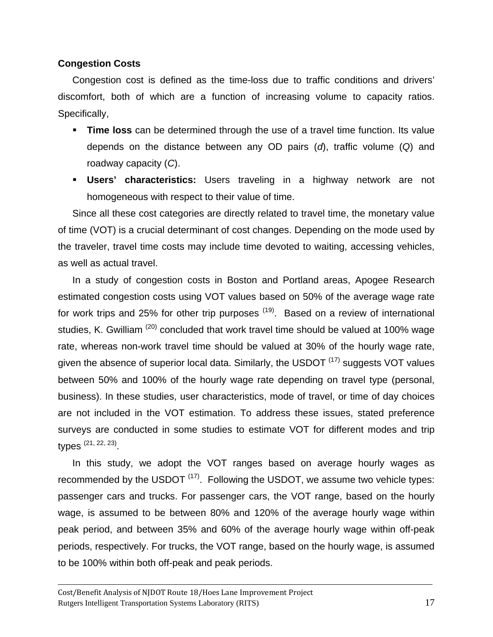## **Congestion Costs**

Congestion cost is defined as the time-loss due to traffic conditions and drivers' discomfort, both of which are a function of increasing volume to capacity ratios. Specifically,

- **Time loss** can be determined through the use of a travel time function. Its value depends on the distance between any OD pairs (*d*), traffic volume (*Q*) and roadway capacity (*C*).
- **Users' characteristics:** Users traveling in a highway network are not homogeneous with respect to their value of time.

Since all these cost categories are directly related to travel time, the monetary value of time (VOT) is a crucial determinant of cost changes. Depending on the mode used by the traveler, travel time costs may include time devoted to waiting, accessing vehicles, as well as actual travel.

In a study of congestion costs in Boston and Portland areas, Apogee Research estimated congestion costs using VOT values based on 50% of the average wage rate for work trips and 25% for other trip purposes  $(19)$ . Based on a review of international studies, K. Gwilliam<sup>(20)</sup> concluded that work travel time should be valued at 100% wage rate, whereas non-work travel time should be valued at 30% of the hourly wage rate, given the absence of superior local data. Similarly, the USDOT  $(17)$  suggests VOT values between 50% and 100% of the hourly wage rate depending on travel type (personal, business). In these studies, user characteristics, mode of travel, or time of day choices are not included in the VOT estimation. To address these issues, stated preference surveys are conducted in some studies to estimate VOT for different modes and trip types (21, 22, 23).

In this study, we adopt the VOT ranges based on average hourly wages as recommended by the USDOT  $(17)$ . Following the USDOT, we assume two vehicle types: passenger cars and trucks. For passenger cars, the VOT range, based on the hourly wage, is assumed to be between 80% and 120% of the average hourly wage within peak period, and between 35% and 60% of the average hourly wage within off-peak periods, respectively. For trucks, the VOT range, based on the hourly wage, is assumed to be 100% within both off-peak and peak periods.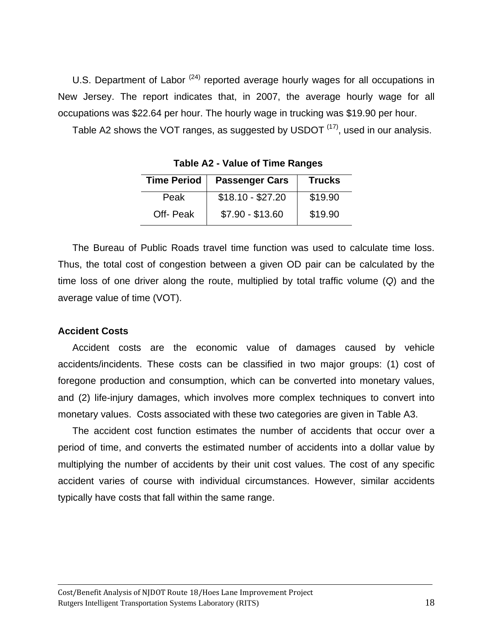U.S. Department of Labor  $(24)$  reported average hourly wages for all occupations in New Jersey. The report indicates that, in 2007, the average hourly wage for all occupations was \$22.64 per hour. The hourly wage in trucking was \$19.90 per hour.

Table A2 shows the VOT ranges, as suggested by USDOT <sup>(17)</sup>, used in our analysis.

| Time Period | <b>Passenger Cars</b> | <b>Trucks</b> |
|-------------|-----------------------|---------------|
| Peak        | $$18.10 - $27.20$     | \$19.90       |
| Off-Peak    | $$7.90 - $13.60$      | \$19.90       |

**Table A2 - Value of Time Ranges** 

The Bureau of Public Roads travel time function was used to calculate time loss. Thus, the total cost of congestion between a given OD pair can be calculated by the time loss of one driver along the route, multiplied by total traffic volume (*Q*) and the average value of time (VOT).

#### **Accident Costs**

Accident costs are the economic value of damages caused by vehicle accidents/incidents. These costs can be classified in two major groups: (1) cost of foregone production and consumption, which can be converted into monetary values, and (2) life-injury damages, which involves more complex techniques to convert into monetary values. Costs associated with these two categories are given in Table A3.

The accident cost function estimates the number of accidents that occur over a period of time, and converts the estimated number of accidents into a dollar value by multiplying the number of accidents by their unit cost values. The cost of any specific accident varies of course with individual circumstances. However, similar accidents typically have costs that fall within the same range.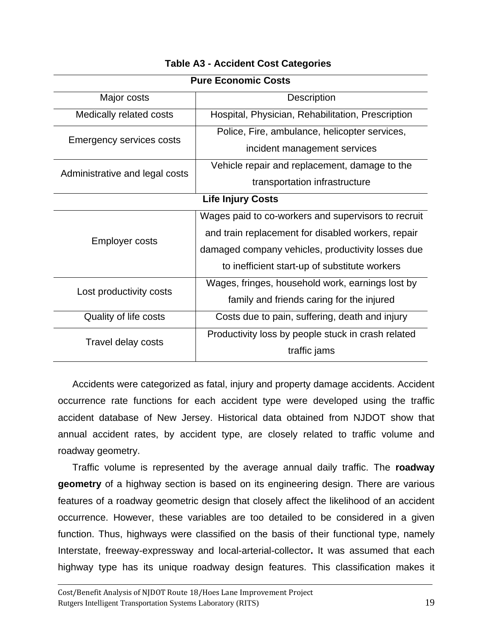| <b>Pure Economic Costs</b>      |                                                     |  |  |
|---------------------------------|-----------------------------------------------------|--|--|
| Major costs                     | <b>Description</b>                                  |  |  |
| Medically related costs         | Hospital, Physician, Rehabilitation, Prescription   |  |  |
| <b>Emergency services costs</b> | Police, Fire, ambulance, helicopter services,       |  |  |
|                                 | incident management services                        |  |  |
| Administrative and legal costs  | Vehicle repair and replacement, damage to the       |  |  |
|                                 | transportation infrastructure                       |  |  |
| <b>Life Injury Costs</b>        |                                                     |  |  |
|                                 | Wages paid to co-workers and supervisors to recruit |  |  |
| <b>Employer costs</b>           | and train replacement for disabled workers, repair  |  |  |
|                                 | damaged company vehicles, productivity losses due   |  |  |
|                                 | to inefficient start-up of substitute workers       |  |  |
| Lost productivity costs         | Wages, fringes, household work, earnings lost by    |  |  |
|                                 | family and friends caring for the injured           |  |  |
| Quality of life costs           | Costs due to pain, suffering, death and injury      |  |  |
| Travel delay costs              | Productivity loss by people stuck in crash related  |  |  |
|                                 | traffic jams                                        |  |  |
|                                 |                                                     |  |  |

## **Table A3 - Accident Cost Categories**

Accidents were categorized as fatal, injury and property damage accidents. Accident occurrence rate functions for each accident type were developed using the traffic accident database of New Jersey. Historical data obtained from NJDOT show that annual accident rates, by accident type, are closely related to traffic volume and roadway geometry.

Traffic volume is represented by the average annual daily traffic. The **roadway geometry** of a highway section is based on its engineering design. There are various features of a roadway geometric design that closely affect the likelihood of an accident occurrence. However, these variables are too detailed to be considered in a given function. Thus, highways were classified on the basis of their functional type, namely Interstate, freeway-expressway and local-arterial-collector**.** It was assumed that each highway type has its unique roadway design features. This classification makes it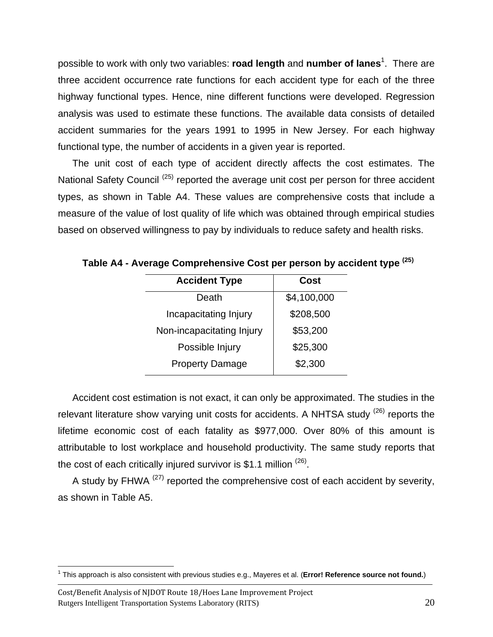possible to work with only two variables: **road length** and **number of lanes**<sup>1</sup>. There are three accident occurrence rate functions for each accident type for each of the three highway functional types. Hence, nine different functions were developed. Regression analysis was used to estimate these functions. The available data consists of detailed accident summaries for the years 1991 to 1995 in New Jersey. For each highway functional type, the number of accidents in a given year is reported.

The unit cost of each type of accident directly affects the cost estimates. The National Safety Council<sup>(25)</sup> reported the average unit cost per person for three accident types, as shown in Table A4. These values are comprehensive costs that include a measure of the value of lost quality of life which was obtained through empirical studies based on observed willingness to pay by individuals to reduce safety and health risks.

| <b>Accident Type</b>      | Cost        |
|---------------------------|-------------|
| Death                     | \$4,100,000 |
| Incapacitating Injury     | \$208,500   |
| Non-incapacitating Injury | \$53,200    |
| Possible Injury           | \$25,300    |
| <b>Property Damage</b>    | \$2,300     |
|                           |             |

**Table A4 - Average Comprehensive Cost per person by accident type (25)**

Accident cost estimation is not exact, it can only be approximated. The studies in the relevant literature show varying unit costs for accidents. A NHTSA study  $(26)$  reports the lifetime economic cost of each fatality as \$977,000. Over 80% of this amount is attributable to lost workplace and household productivity. The same study reports that the cost of each critically injured survivor is \$1.1 million  $(26)$ .

A study by FHWA  $(27)$  reported the comprehensive cost of each accident by severity, as shown in Table A5.

<sup>1</sup> 1 This approach is also consistent with previous studies e.g., Mayeres et al. (**Error! Reference source not found.**)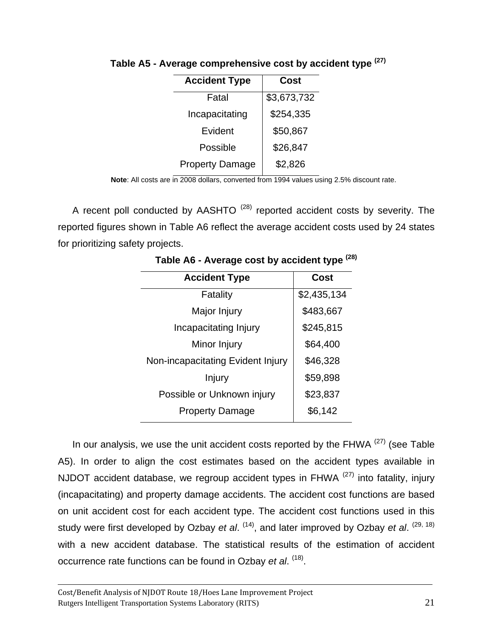| <b>Accident Type</b>   | Cost        |
|------------------------|-------------|
| Fatal                  | \$3,673,732 |
| Incapacitating         | \$254,335   |
| Evident                | \$50,867    |
| Possible               | \$26,847    |
| <b>Property Damage</b> | \$2,826     |

**Table A5 - Average comprehensive cost by accident type (27)**

**Note**: All costs are in 2008 dollars, converted from 1994 values using 2.5% discount rate.

A recent poll conducted by AASHTO  $(28)$  reported accident costs by severity. The reported figures shown in Table A6 reflect the average accident costs used by 24 states for prioritizing safety projects.

| <b>Accident Type</b>              | Cost        |
|-----------------------------------|-------------|
| Fatality                          | \$2,435,134 |
| Major Injury                      | \$483,667   |
| Incapacitating Injury             | \$245,815   |
| Minor Injury                      | \$64,400    |
| Non-incapacitating Evident Injury | \$46,328    |
| Injury                            | \$59,898    |
| Possible or Unknown injury        | \$23,837    |
| <b>Property Damage</b>            | \$6,142     |

 **Table A6 - Average cost by accident type (28)**

In our analysis, we use the unit accident costs reported by the FHWA  $(27)$  (see Table A5). In order to align the cost estimates based on the accident types available in NJDOT accident database, we regroup accident types in FHWA  $(27)$  into fatality, injury (incapacitating) and property damage accidents. The accident cost functions are based on unit accident cost for each accident type. The accident cost functions used in this study were first developed by Ozbay *et al.* <sup>(14)</sup>, and later improved by Ozbay *et al.* <sup>(29, 18)</sup> with a new accident database. The statistical results of the estimation of accident occurrence rate functions can be found in Ozbay *et al*. (18).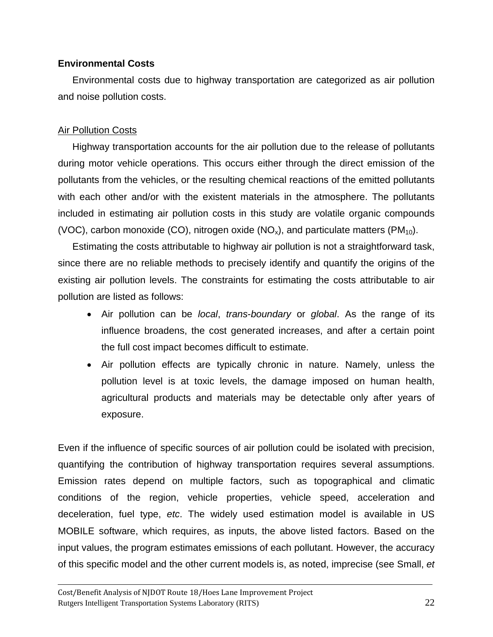## **Environmental Costs**

Environmental costs due to highway transportation are categorized as air pollution and noise pollution costs.

## Air Pollution Costs

Highway transportation accounts for the air pollution due to the release of pollutants during motor vehicle operations. This occurs either through the direct emission of the pollutants from the vehicles, or the resulting chemical reactions of the emitted pollutants with each other and/or with the existent materials in the atmosphere. The pollutants included in estimating air pollution costs in this study are volatile organic compounds (VOC), carbon monoxide (CO), nitrogen oxide (NO<sub>x</sub>), and particulate matters (PM<sub>10</sub>).

Estimating the costs attributable to highway air pollution is not a straightforward task, since there are no reliable methods to precisely identify and quantify the origins of the existing air pollution levels. The constraints for estimating the costs attributable to air pollution are listed as follows:

- Air pollution can be *local*, *trans*-*boundary* or *global*. As the range of its influence broadens, the cost generated increases, and after a certain point the full cost impact becomes difficult to estimate.
- Air pollution effects are typically chronic in nature. Namely, unless the pollution level is at toxic levels, the damage imposed on human health, agricultural products and materials may be detectable only after years of exposure.

Even if the influence of specific sources of air pollution could be isolated with precision, quantifying the contribution of highway transportation requires several assumptions. Emission rates depend on multiple factors, such as topographical and climatic conditions of the region, vehicle properties, vehicle speed, acceleration and deceleration, fuel type, *etc*. The widely used estimation model is available in US MOBILE software, which requires, as inputs, the above listed factors. Based on the input values, the program estimates emissions of each pollutant. However, the accuracy of this specific model and the other current models is, as noted, imprecise (see Small, *et*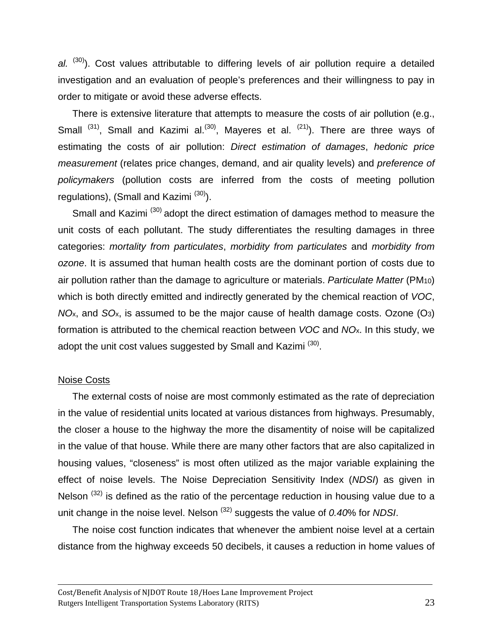al. (30). Cost values attributable to differing levels of air pollution require a detailed investigation and an evaluation of people's preferences and their willingness to pay in order to mitigate or avoid these adverse effects.

There is extensive literature that attempts to measure the costs of air pollution (e.g., Small  $^{(31)}$ , Small and Kazimi al.<sup>(30)</sup>, Mayeres et al.  $^{(21)}$ ). There are three ways of estimating the costs of air pollution: *Direct estimation of damages*, *hedonic price measurement* (relates price changes, demand, and air quality levels) and *preference of policymakers* (pollution costs are inferred from the costs of meeting pollution regulations), (Small and Kazimi  $(30)$ ).

Small and Kazimi<sup>(30)</sup> adopt the direct estimation of damages method to measure the unit costs of each pollutant. The study differentiates the resulting damages in three categories: *mortality from particulates*, *morbidity from particulates* and *morbidity from ozone*. It is assumed that human health costs are the dominant portion of costs due to air pollution rather than the damage to agriculture or materials. *Particulate Matter* (PM10) which is both directly emitted and indirectly generated by the chemical reaction of *VOC*, *NO*x, and *SO*x, is assumed to be the major cause of health damage costs. Ozone (O3) formation is attributed to the chemical reaction between *VOC* and *NO*x. In this study, we adopt the unit cost values suggested by Small and Kazimi<sup>(30)</sup>.

#### Noise Costs

The external costs of noise are most commonly estimated as the rate of depreciation in the value of residential units located at various distances from highways. Presumably, the closer a house to the highway the more the disamentity of noise will be capitalized in the value of that house. While there are many other factors that are also capitalized in housing values, "closeness" is most often utilized as the major variable explaining the effect of noise levels. The Noise Depreciation Sensitivity Index (*NDSI*) as given in Nelson  $(32)$  is defined as the ratio of the percentage reduction in housing value due to a unit change in the noise level. Nelson (32) suggests the value of *0.40*% for *NDSI*.

The noise cost function indicates that whenever the ambient noise level at a certain distance from the highway exceeds 50 decibels, it causes a reduction in home values of